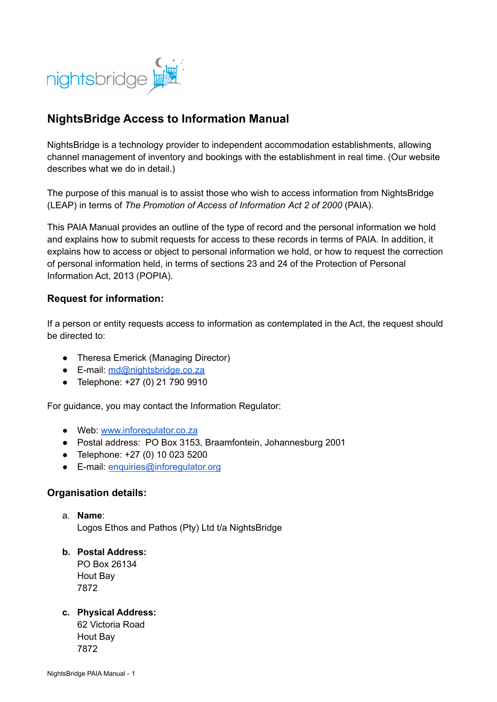

# **NightsBridge Access to Information Manual**

NightsBridge is a technology provider to independent accommodation establishments, allowing channel management of inventory and bookings with the establishment in real time. (Our website describes what we do in detail.)

The purpose of this manual is to assist those who wish to access information from NightsBridge (LEAP) in terms of *The Promotion of Access of Information Act 2 of 2000* (PAIA).

This PAIA Manual provides an outline of the type of record and the personal information we hold and explains how to submit requests for access to these records in terms of PAIA. In addition, it explains how to access or object to personal information we hold, or how to request the correction of personal information held, in terms of sections 23 and 24 of the Protection of Personal Information Act, 2013 (POPIA).

#### **Request for information:**

If a person or entity requests access to information as contemplated in the Act, the request should be directed to:

- Theresa Emerick (Managing Director)
- E-mail: [md@nightsbridge.co.za](mailto:md@nightsbridge.co.za)
- Telephone: +27 (0) 21 790 9910

For guidance, you may contact the Information Regulator:

- Web: [www.inforegulator.co.za](http://www.inforegulator.co.za)
- Postal address: PO Box 3153, Braamfontein, Johannesburg 2001
- Telephone: +27 (0) 10 023 5200
- E-mail: [enquiries@inforegulator.org](mailto:enquiries@inforegulator.org)

#### **Organisation details:**

- a. **Name**: Logos Ethos and Pathos (Pty) Ltd t/a NightsBridge
- **b. Postal Address:**

PO Box 26134 Hout Bay 7872

#### **c. Physical Address:**

62 Victoria Road Hout Bay 7872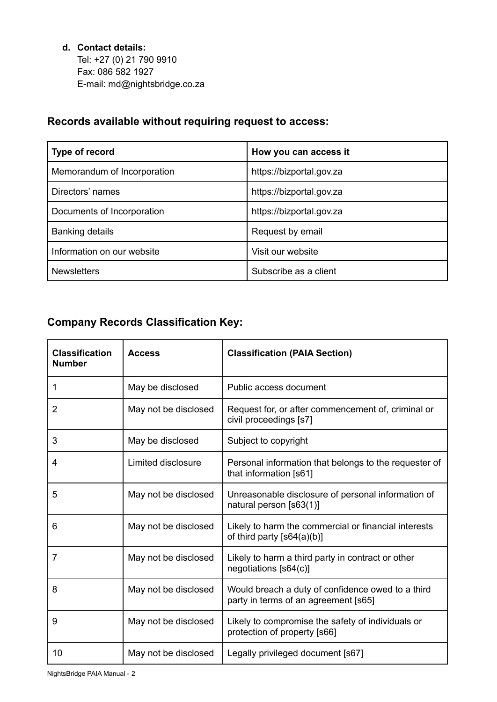### **d. Contact details:**

Tel: +27 (0) 21 790 9910 Fax: 086 582 1927 E-mail: md@nightsbridge.co.za

# **Records available without requiring request to access:**

| Type of record              | How you can access it    |  |
|-----------------------------|--------------------------|--|
| Memorandum of Incorporation | https://bizportal.gov.za |  |
| Directors' names            | https://bizportal.gov.za |  |
| Documents of Incorporation  | https://bizportal.gov.za |  |
| <b>Banking details</b>      | Request by email         |  |
| Information on our website  | Visit our website        |  |
| <b>Newsletters</b>          | Subscribe as a client    |  |

# **Company Records Classification Key:**

| <b>Classification</b><br><b>Number</b> | <b>Access</b>        | <b>Classification (PAIA Section)</b>                                                      |  |
|----------------------------------------|----------------------|-------------------------------------------------------------------------------------------|--|
| 1                                      | May be disclosed     | Public access document                                                                    |  |
| $\overline{2}$                         | May not be disclosed | Request for, or after commencement of, criminal or<br>civil proceedings [s7]              |  |
| 3                                      | May be disclosed     | Subject to copyright                                                                      |  |
| 4                                      | Limited disclosure   | Personal information that belongs to the requester of<br>that information [s61]           |  |
| 5                                      | May not be disclosed | Unreasonable disclosure of personal information of<br>natural person [s63(1)]             |  |
| 6                                      | May not be disclosed | Likely to harm the commercial or financial interests<br>of third party $[s64(a)(b)]$      |  |
| 7                                      | May not be disclosed | Likely to harm a third party in contract or other<br>negotiations [s64(c)]                |  |
| 8                                      | May not be disclosed | Would breach a duty of confidence owed to a third<br>party in terms of an agreement [s65] |  |
| 9                                      | May not be disclosed | Likely to compromise the safety of individuals or<br>protection of property [s66]         |  |
| 10                                     | May not be disclosed | Legally privileged document [s67]                                                         |  |

NightsBridge PAIA Manual - 2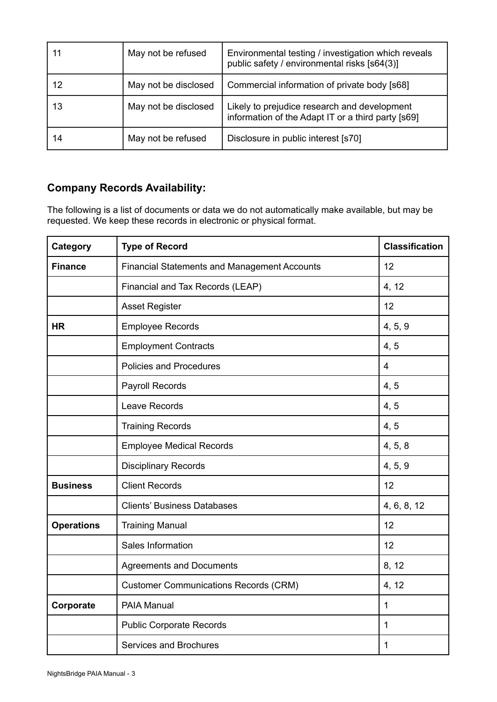| 11 | May not be refused   | Environmental testing / investigation which reveals<br>public safety / environmental risks [s64(3)] |  |
|----|----------------------|-----------------------------------------------------------------------------------------------------|--|
| 12 | May not be disclosed | Commercial information of private body [s68]                                                        |  |
| 13 | May not be disclosed | Likely to prejudice research and development<br>information of the Adapt IT or a third party [s69]  |  |
| 14 | May not be refused   | Disclosure in public interest [s70]                                                                 |  |

# **Company Records Availability:**

The following is a list of documents or data we do not automatically make available, but may be requested. We keep these records in electronic or physical format.

| Category          | <b>Type of Record</b>                               | <b>Classification</b> |
|-------------------|-----------------------------------------------------|-----------------------|
| <b>Finance</b>    | <b>Financial Statements and Management Accounts</b> | 12                    |
|                   | Financial and Tax Records (LEAP)                    | 4, 12                 |
|                   | <b>Asset Register</b>                               | 12                    |
| <b>HR</b>         | <b>Employee Records</b>                             | 4, 5, 9               |
|                   | <b>Employment Contracts</b>                         | 4, 5                  |
|                   | <b>Policies and Procedures</b>                      | $\overline{4}$        |
|                   | <b>Payroll Records</b>                              | 4, 5                  |
|                   | Leave Records                                       | 4, 5                  |
|                   | <b>Training Records</b>                             | 4, 5                  |
|                   | <b>Employee Medical Records</b>                     | 4, 5, 8               |
|                   | <b>Disciplinary Records</b>                         | 4, 5, 9               |
| <b>Business</b>   | <b>Client Records</b>                               | 12                    |
|                   | <b>Clients' Business Databases</b>                  | 4, 6, 8, 12           |
| <b>Operations</b> | <b>Training Manual</b>                              | 12                    |
|                   | Sales Information                                   | 12                    |
|                   | <b>Agreements and Documents</b>                     | 8, 12                 |
|                   | <b>Customer Communications Records (CRM)</b>        | 4, 12                 |
| Corporate         | PAIA Manual                                         | 1                     |
|                   | <b>Public Corporate Records</b>                     | 1                     |
|                   | Services and Brochures                              | 1                     |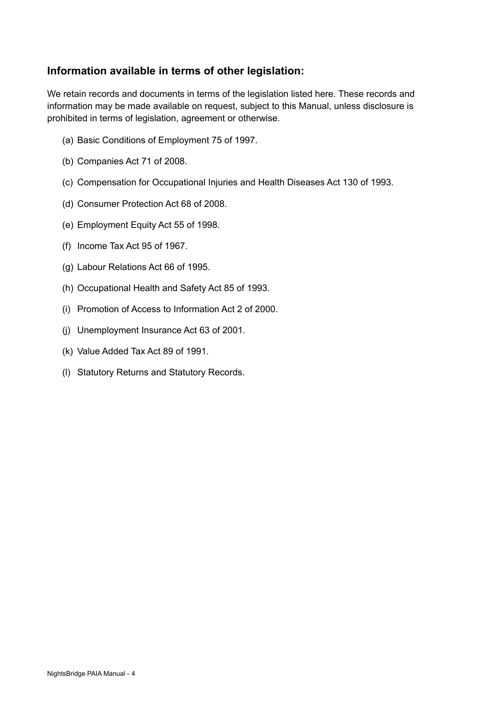# **Information available in terms of other legislation:**

We retain records and documents in terms of the legislation listed here. These records and information may be made available on request, subject to this Manual, unless disclosure is prohibited in terms of legislation, agreement or otherwise.

- (a) Basic Conditions of Employment 75 of 1997.
- (b) Companies Act 71 of 2008.
- (c) Compensation for Occupational Injuries and Health Diseases Act 130 of 1993.
- (d) Consumer Protection Act 68 of 2008.
- (e) Employment Equity Act 55 of 1998.
- (f) Income Tax Act 95 of 1967.
- (g) Labour Relations Act 66 of 1995.
- (h) Occupational Health and Safety Act 85 of 1993.
- (i) Promotion of Access to Information Act 2 of 2000.
- (j) Unemployment Insurance Act 63 of 2001.
- (k) Value Added Tax Act 89 of 1991.
- (l) Statutory Returns and Statutory Records.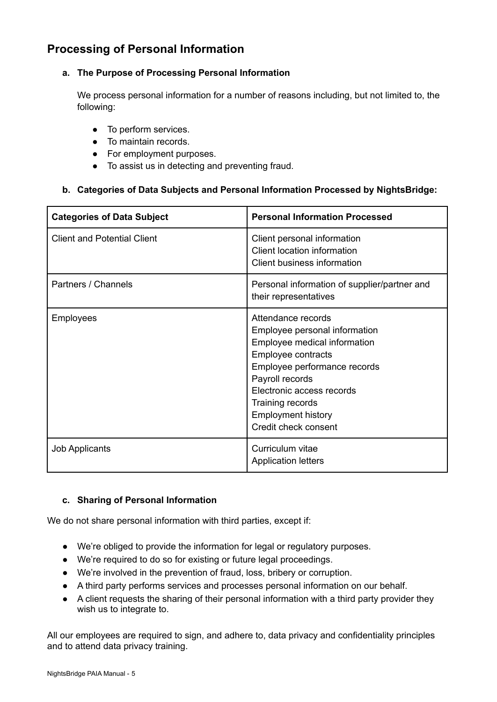# **Processing of Personal Information**

#### **a. The Purpose of Processing Personal Information**

We process personal information for a number of reasons including, but not limited to, the following:

- To perform services.
- To maintain records.
- For employment purposes.
- To assist us in detecting and preventing fraud.

#### **b. Categories of Data Subjects and Personal Information Processed by NightsBridge:**

| <b>Categories of Data Subject</b>  | <b>Personal Information Processed</b>                                                                                                                                                                                                                              |
|------------------------------------|--------------------------------------------------------------------------------------------------------------------------------------------------------------------------------------------------------------------------------------------------------------------|
| <b>Client and Potential Client</b> | Client personal information<br>Client location information<br><b>Client business information</b>                                                                                                                                                                   |
| Partners / Channels                | Personal information of supplier/partner and<br>their representatives                                                                                                                                                                                              |
| Employees                          | Attendance records<br>Employee personal information<br>Employee medical information<br>Employee contracts<br>Employee performance records<br>Payroll records<br>Electronic access records<br>Training records<br><b>Employment history</b><br>Credit check consent |
| <b>Job Applicants</b>              | Curriculum vitae<br><b>Application letters</b>                                                                                                                                                                                                                     |

#### **c. Sharing of Personal Information**

We do not share personal information with third parties, except if:

- We're obliged to provide the information for legal or regulatory purposes.
- We're required to do so for existing or future legal proceedings.
- We're involved in the prevention of fraud, loss, bribery or corruption.
- A third party performs services and processes personal information on our behalf.
- A client requests the sharing of their personal information with a third party provider they wish us to integrate to.

All our employees are required to sign, and adhere to, data privacy and confidentiality principles and to attend data privacy training.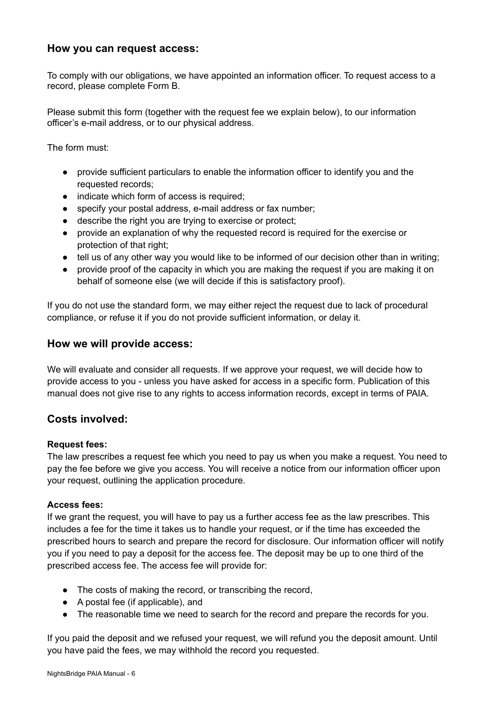### **How you can request access:**

To comply with our obligations, we have appointed an information officer. To request access to a record, please complete Form B.

Please submit this form (together with the request fee we explain below), to our information officer's e-mail address, or to our physical address.

The form must:

- provide sufficient particulars to enable the information officer to identify you and the requested records;
- indicate which form of access is required:
- specify your postal address, e-mail address or fax number;
- describe the right you are trying to exercise or protect;
- provide an explanation of why the requested record is required for the exercise or protection of that right;
- tell us of any other way you would like to be informed of our decision other than in writing;
- provide proof of the capacity in which you are making the request if you are making it on behalf of someone else (we will decide if this is satisfactory proof).

If you do not use the standard form, we may either reject the request due to lack of procedural compliance, or refuse it if you do not provide sufficient information, or delay it.

#### **How we will provide access:**

We will evaluate and consider all requests. If we approve your request, we will decide how to provide access to you - unless you have asked for access in a specific form. Publication of this manual does not give rise to any rights to access information records, except in terms of PAIA.

#### **Costs involved:**

#### **Request fees:**

The law prescribes a request fee which you need to pay us when you make a request. You need to pay the fee before we give you access. You will receive a notice from our information officer upon your request, outlining the application procedure.

#### **Access fees:**

If we grant the request, you will have to pay us a further access fee as the law prescribes. This includes a fee for the time it takes us to handle your request, or if the time has exceeded the prescribed hours to search and prepare the record for disclosure. Our information officer will notify you if you need to pay a deposit for the access fee. The deposit may be up to one third of the prescribed access fee. The access fee will provide for:

- The costs of making the record, or transcribing the record,
- A postal fee (if applicable), and
- The reasonable time we need to search for the record and prepare the records for you.

If you paid the deposit and we refused your request, we will refund you the deposit amount. Until you have paid the fees, we may withhold the record you requested.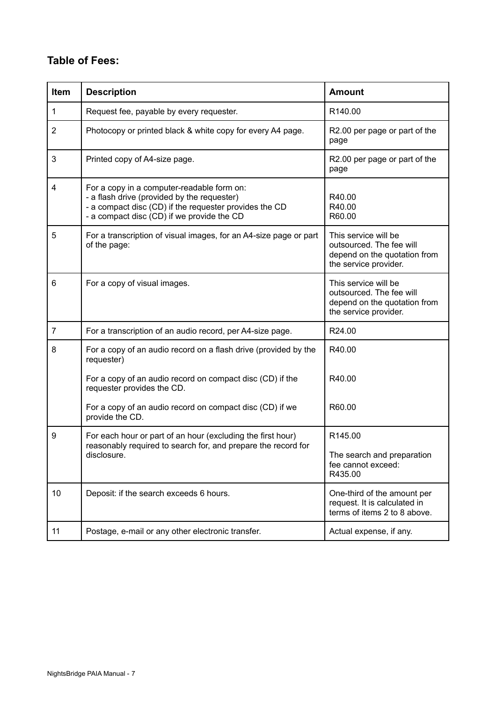# **Table of Fees:**

| <b>Item</b>    | <b>Description</b>                                                                                                                                                                                | <b>Amount</b>                                                                                             |
|----------------|---------------------------------------------------------------------------------------------------------------------------------------------------------------------------------------------------|-----------------------------------------------------------------------------------------------------------|
| 1              | Request fee, payable by every requester.                                                                                                                                                          | R140.00                                                                                                   |
| $\overline{2}$ | Photocopy or printed black & white copy for every A4 page.                                                                                                                                        | R2.00 per page or part of the<br>page                                                                     |
| 3              | Printed copy of A4-size page.                                                                                                                                                                     | R2.00 per page or part of the<br>page                                                                     |
| $\overline{4}$ | For a copy in a computer-readable form on:<br>- a flash drive (provided by the requester)<br>- a compact disc (CD) if the requester provides the CD<br>- a compact disc (CD) if we provide the CD | R40.00<br>R40.00<br>R60.00                                                                                |
| 5              | For a transcription of visual images, for an A4-size page or part<br>of the page:                                                                                                                 | This service will be<br>outsourced. The fee will<br>depend on the quotation from<br>the service provider. |
| 6              | For a copy of visual images.                                                                                                                                                                      | This service will be<br>outsourced. The fee will<br>depend on the quotation from<br>the service provider. |
| $\overline{7}$ | For a transcription of an audio record, per A4-size page.                                                                                                                                         | R24.00                                                                                                    |
| 8              | For a copy of an audio record on a flash drive (provided by the<br>requester)                                                                                                                     | R40.00                                                                                                    |
|                | For a copy of an audio record on compact disc (CD) if the<br>requester provides the CD.                                                                                                           | R40.00                                                                                                    |
|                | For a copy of an audio record on compact disc (CD) if we<br>provide the CD.                                                                                                                       | R60.00                                                                                                    |
| 9              | For each hour or part of an hour (excluding the first hour)                                                                                                                                       | R145.00                                                                                                   |
|                | reasonably required to search for, and prepare the record for<br>disclosure.                                                                                                                      | The search and preparation<br>fee cannot exceed:<br>R435.00                                               |
| 10             | Deposit: if the search exceeds 6 hours.                                                                                                                                                           | One-third of the amount per<br>request. It is calculated in<br>terms of items 2 to 8 above.               |
| 11             | Postage, e-mail or any other electronic transfer.                                                                                                                                                 | Actual expense, if any.                                                                                   |